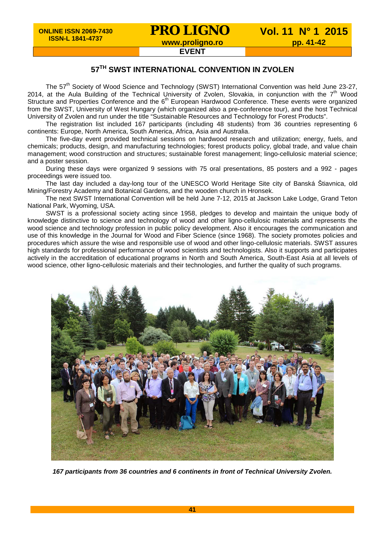## **57TH SWST INTERNATIONAL CONVENTION IN ZVOLEN**

The 57<sup>th</sup> Society of Wood Science and Technology (SWST) International Convention was held June 23-27, 2014, at the Aula Building of the Technical University of Zvolen, Slovakia, in conjunction with the 7<sup>th</sup> Wood Structure and Properties Conference and the 6<sup>th</sup> European Hardwood Conference. These events were organized from the SWST, University of West Hungary (which organized also a pre-conference tour), and the host Technical University of Zvolen and run under the title "Sustainable Resources and Technology for Forest Products".

The registration list included 167 participants (including 48 students) from 36 countries representing 6 continents: Europe, North America, South America, Africa, Asia and Australia.

The five-day event provided technical sessions on hardwood research and utilization; energy, fuels, and chemicals; products, design, and manufacturing technologies; forest products policy, global trade, and value chain management; wood construction and structures; sustainable forest management; lingo-cellulosic material science; and a poster session.

During these days were organized 9 sessions with 75 oral presentations, 85 posters and a 992 - pages proceedings were issued too.

The last day included a day-long tour of the UNESCO World Heritage Site city of Banská Štiavnica, old Mining/Forestry Academy and Botanical Gardens, and the wooden church in Hronsek.

The next SWST International Convention will be held June 7-12, 2015 at Jackson Lake Lodge, Grand Teton National Park, Wyoming, USA.

SWST is a professional society acting since 1958, pledges to develop and maintain the unique body of knowledge distinctive to science and technology of wood and other ligno-cellulosic materials and represents the wood science and technology profession in public policy development. Also it encourages the communication and use of this knowledge in the Journal for Wood and Fiber Science (since 1968). The society promotes policies and procedures which assure the wise and responsible use of wood and other lingo-cellulosic materials. SWST assures high standards for professional performance of wood scientists and technologists. Also it supports and participates actively in the accreditation of educational programs in North and South America, South-East Asia at all levels of wood science, other ligno-cellulosic materials and their technologies, and further the quality of such programs.



*167 participants from 36 countries and 6 continents in front of Technical University Zvolen.*